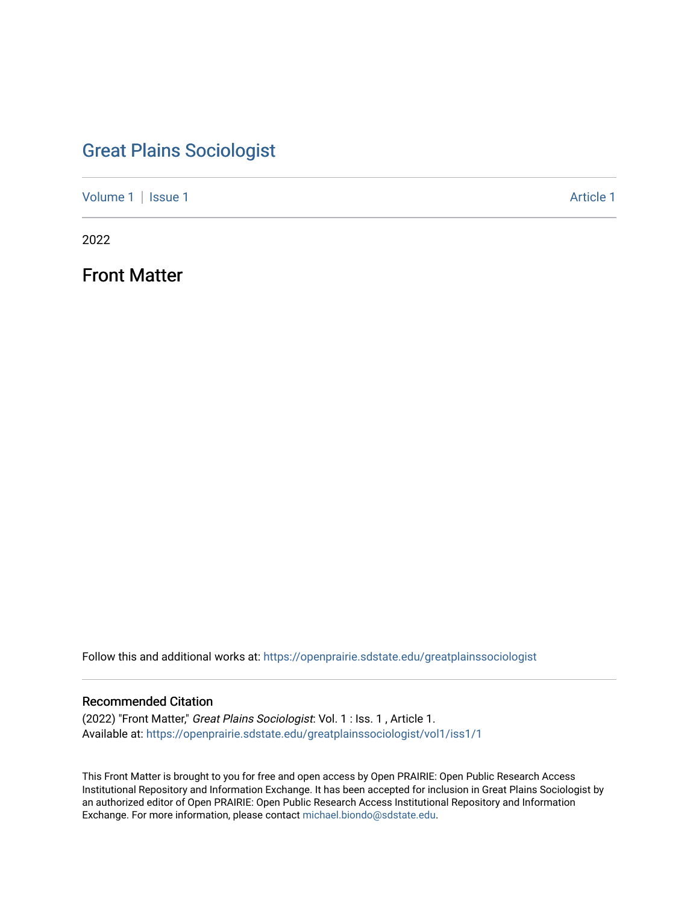# [Great Plains Sociologist](https://openprairie.sdstate.edu/greatplainssociologist)

[Volume 1](https://openprairie.sdstate.edu/greatplainssociologist/vol1) | [Issue 1](https://openprairie.sdstate.edu/greatplainssociologist/vol1/iss1) [Article 1](https://openprairie.sdstate.edu/greatplainssociologist/vol1/iss1/1) Article 1 Article 1

2022

Front Matter

Follow this and additional works at: [https://openprairie.sdstate.edu/greatplainssociologist](https://openprairie.sdstate.edu/greatplainssociologist?utm_source=openprairie.sdstate.edu%2Fgreatplainssociologist%2Fvol1%2Fiss1%2F1&utm_medium=PDF&utm_campaign=PDFCoverPages) 

## Recommended Citation

(2022) "Front Matter," Great Plains Sociologist: Vol. 1 : Iss. 1 , Article 1. Available at: [https://openprairie.sdstate.edu/greatplainssociologist/vol1/iss1/1](https://openprairie.sdstate.edu/greatplainssociologist/vol1/iss1/1?utm_source=openprairie.sdstate.edu%2Fgreatplainssociologist%2Fvol1%2Fiss1%2F1&utm_medium=PDF&utm_campaign=PDFCoverPages) 

This Front Matter is brought to you for free and open access by Open PRAIRIE: Open Public Research Access Institutional Repository and Information Exchange. It has been accepted for inclusion in Great Plains Sociologist by an authorized editor of Open PRAIRIE: Open Public Research Access Institutional Repository and Information Exchange. For more information, please contact [michael.biondo@sdstate.edu.](mailto:michael.biondo@sdstate.edu)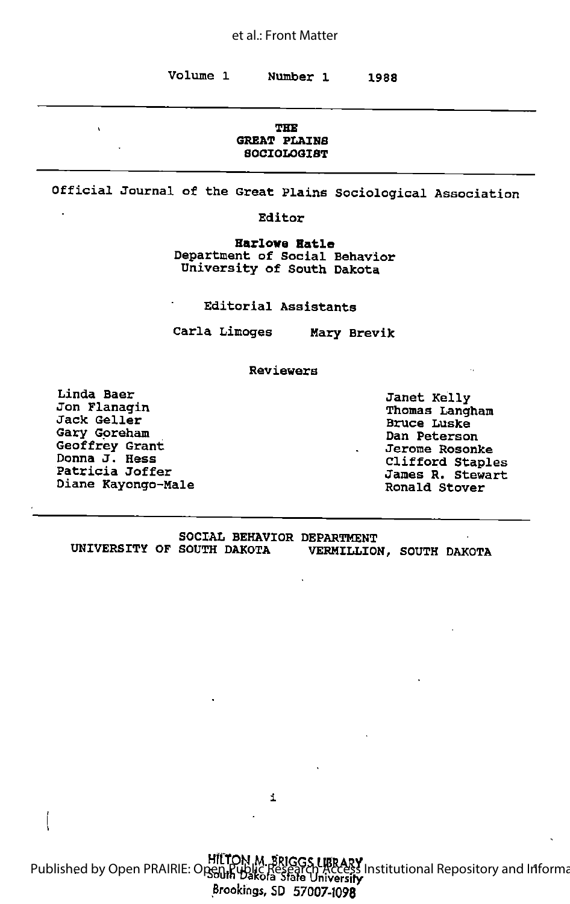#### THE GREAT PLAINS **SOCIOLOGIST**

Official Journal of the Great Plains Sociological Association

Editor

Harlove Hatle Department of Social Behavior University of South Dakota

Editorial Assistants

Carla Limoges Mary Brevik

Reviewers

Linda Baer Janet Kelly Jon Flanagln Thomas Langham Jon Flanagin<br>Jack Geller Bruce Luske<br>Bruce Luske Gary Goreham Dan Peterson Geoffrey Grant Jerome Rosonke Donna J. Hess Clifford Staples Donna J. Hess<br>Patricia Joffer James R. Stewart Diane Kayongo-Male Ronald Stover

|                            |  | <b>SOCIAL BEHAVIOR DEPARTMENT</b> |  |
|----------------------------|--|-----------------------------------|--|
| UNIVERSITY OF SOUTH DAKOTA |  | VERMILLION, SOUTH DAKOTA          |  |

i

HfCTON M. gRIGGS UBRARY Published by Open PRAIRIE: Open Public Research Access Institutional Repository and Information Published by Open PRAIRIE: Open Public Research Access Institutional Repository and Information Brookings, SD 57007-1098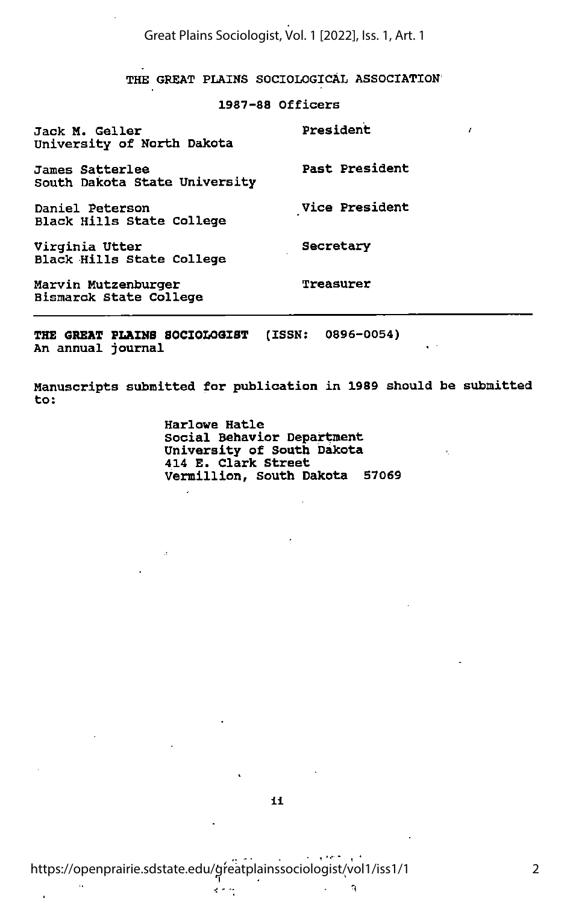THE GREAT PLAINS SOCIOLOGICAL ASSOCIATION

z

### 1987-88 Officers

| Jack M. Geller<br>University of North Dakota         | President      |
|------------------------------------------------------|----------------|
| James Satterlee<br>South Dakota State University     | Past President |
| Daniel Peterson<br>Black Hills State College         | Vice President |
| Virginia Utter<br>Black Hills State College          | Secretary      |
| Marvin Mutzenburger<br><b>Bismarck State College</b> | Treasurer      |

THE GREAT PLAINS SOCIOLOGIST (ISSN: 0896-0054) An annual journal

Manuscripts submitted for publication in 1989 should be submitted to:

> Harlowe Hatle Social Behavior Department University of South Dakota 414 E. Clark Street Vermillion, South Dakota 57069

فالوالة فعاودتها

 $\ddot{\phantom{a}}$ 

 $\widehat{\eta}$ 

 $\ddot{\phantom{a}}$ 

 $\sim$  .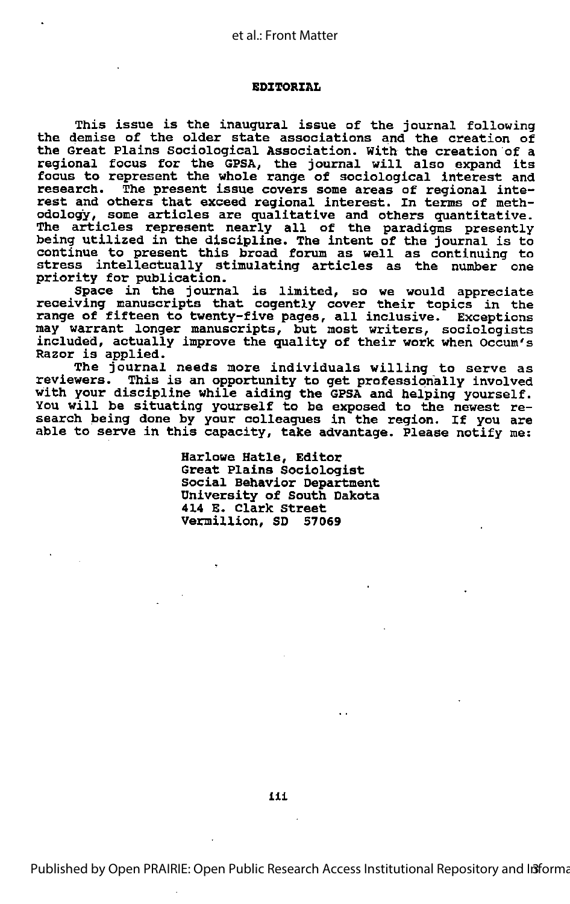#### EDITORIAL

This issue is the inaugural issue of the journal following the demise of the older state associations and the creation of the Great Plains Sociological Association. With the creation of <sup>a</sup> regional focus for the GPSA, the journal will also expand its focus to represent the whole range of sociological interest and research. The present issue covers some areas of regional inte rest and others that exceed regional interest. In terms of meth odology, some articles are qualitative and others quantitative. The articles represent nearly all of the paradigms presently Inco dicities represent hearly all of the paradigms presently<br>being utilized in the discipline. The intent of the journal is to sting definition in the discipline. The intent of the journal is to<br>continue to present this broad forum as well as continuing to stress intellectually stimulating articles as the number one priority for publication.

Space in the journal is limited, so we would appreciate receiving manuscripts that cogently cover their topics in the range of fifteen to twenty-five pages, all inclusive. Exceptions may warrant longer manuscripts, but most writers, sociologists included, actually improve the quality of their work when Occum's Razor is applied.

The journal needs more individuals willing to serve as reviewers. This is an opportunity to get professionally involved with your discipline while aiding the GPSA and helping yourself.<br>You will be situating yourself to be exposed to the newest research being done by your colleagues in the region. If you are able to serve in this capacity, take advantage. Please notify me:

> Harlowe Hatle, Editor Great Plains Sociologist Social Behavior Department University of South Dakota 414 E. Clark Street Vermillion, SD 57069

Published by Open PRAIRIE: Open Public Research Access Institutional Repository and Informa